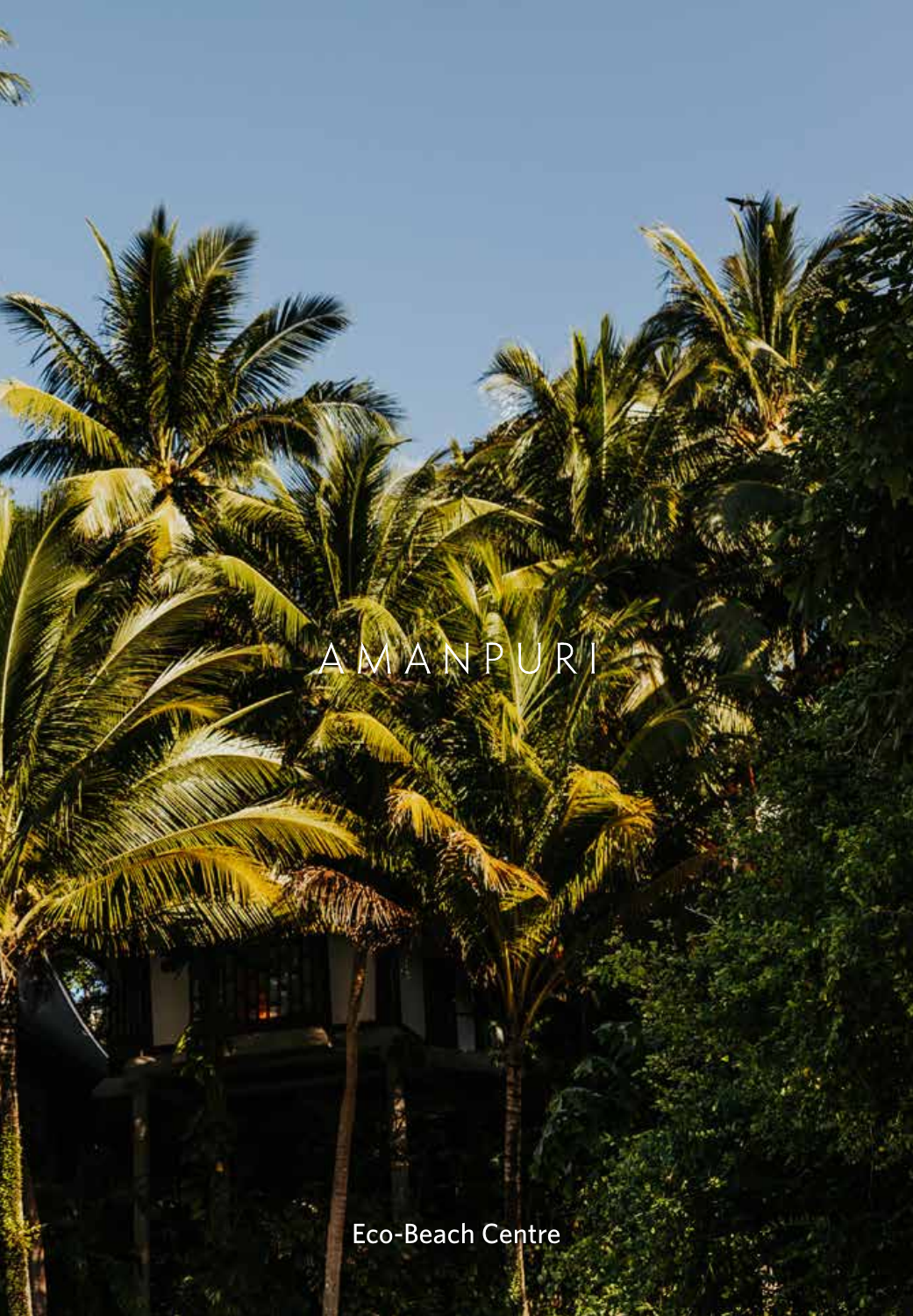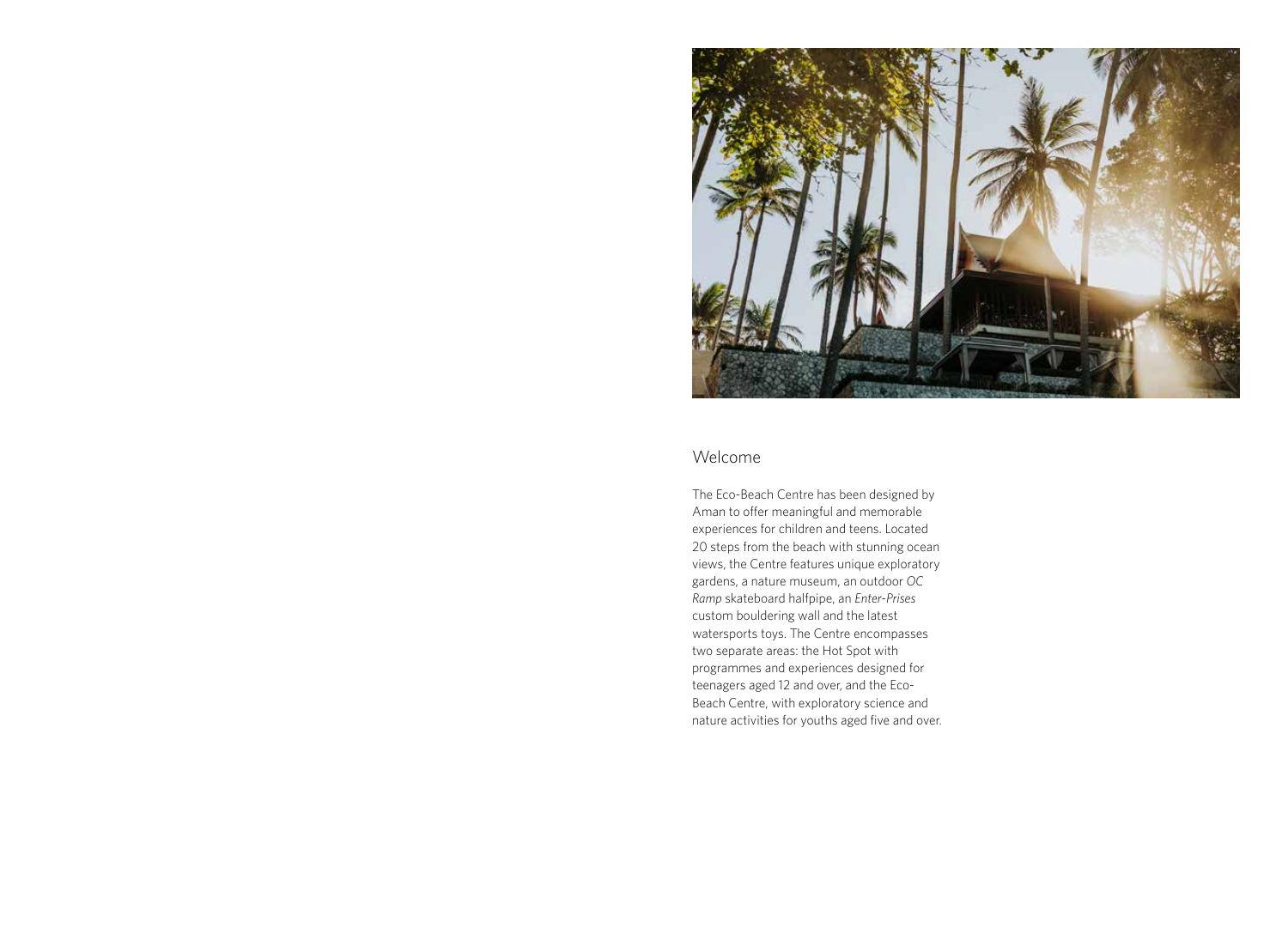

## Welcome

The Eco-Beach Centre has been designed by Aman to offer meaningful and memorable experiences for children and teens. Located 20 steps from the beach with stunning ocean views, the Centre features unique exploratory gardens, a nature museum, an outdoor *OC Ramp* skateboard halfpipe, an *Enter-Prises* custom bouldering wall and the latest watersports toys. The Centre encompasses two separate areas: the Hot Spot with programmes and experiences designed for teenagers aged 12 and over, and the Eco-Beach Centre, with exploratory science and nature activities for youths aged five and over.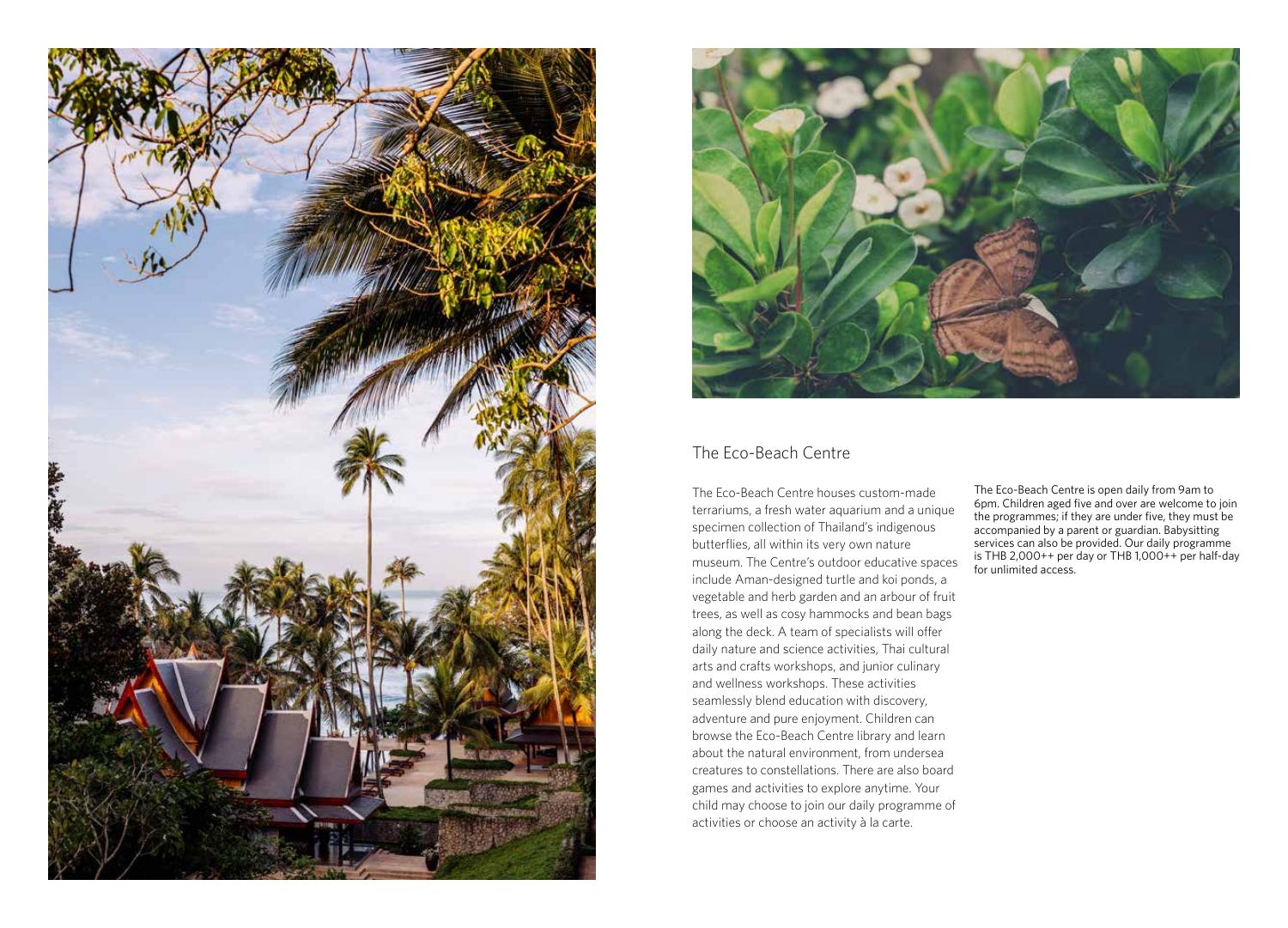



# The Eco-Beach Centre

The Eco-Beach Centre houses custom-made terrariums, a fresh water aquarium and a unique specimen collection of Thailand's indigenous butterflies, all within its very own nature museum. The Centre's outdoor educative spaces include Aman-designed turtle and koi ponds, a vegetable and herb garden and an arbour of fruit trees, as well as cosy hammocks and bean bags along the deck. A team of specialists will offer daily nature and science activities, Thai cultural arts and crafts workshops, and junior culinary and wellness workshops. These activities seamlessly blend education with discovery, adventure and pure enjoyment. Children can browse the Eco-Beach Centre library and learn about the natural environment, from undersea creatures to constellations. There are also board games and activities to explore anytime. Your child may choose to join our daily programme of activities or choose an activity à la carte.

The Eco-Beach Centre is open daily from 9am to 6pm. Children aged five and over are welcome to join the programmes; if they are under five, they must be accompanied by a parent or guardian. Babysitting services can also be provided. Our daily programme is THB 2,000++ per day or THB 1,000++ per half-day for unlimited access.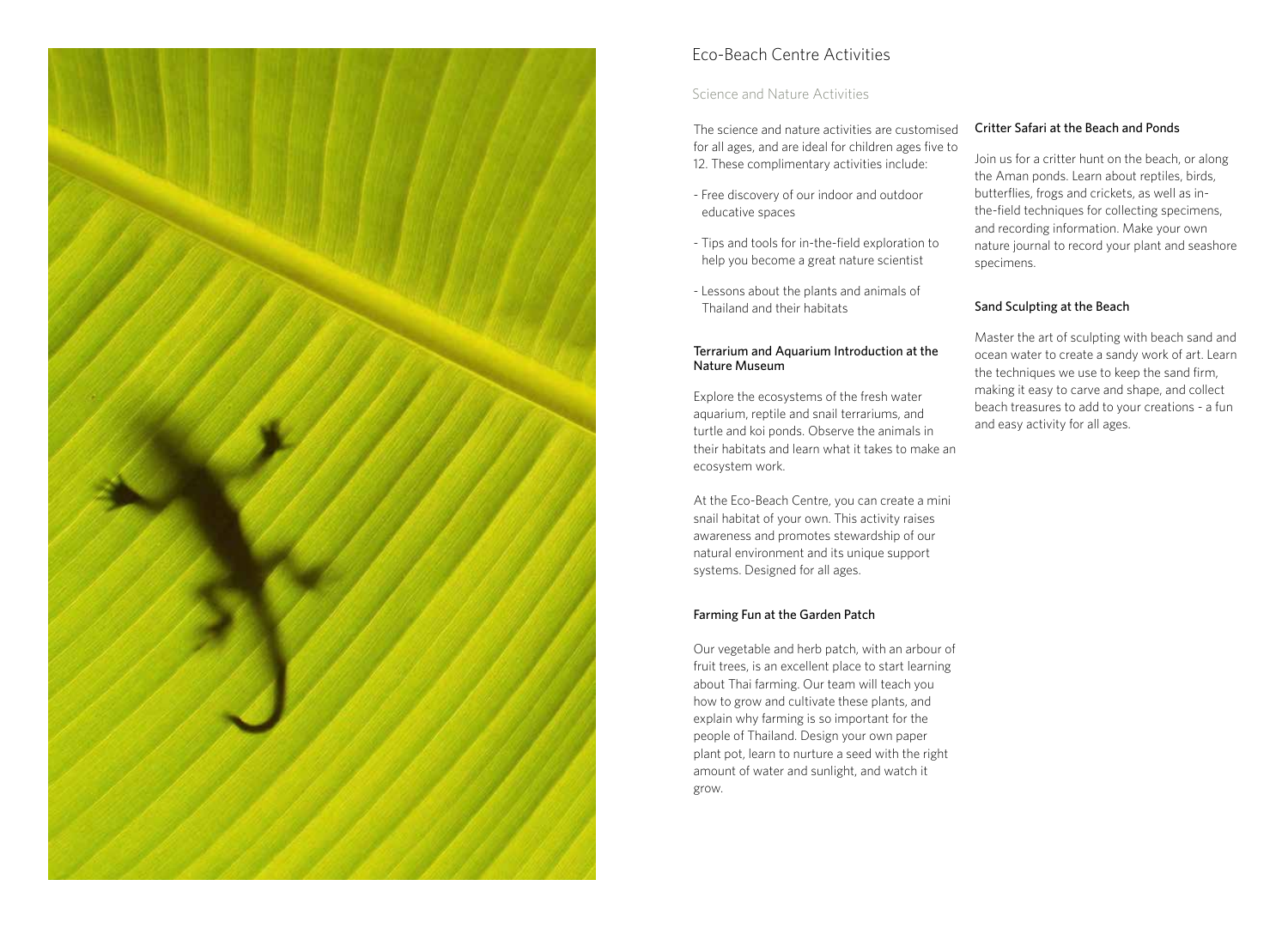

# Eco-Beach Centre Activities

## Science and Nature Activities

The science and nature activities are customised for all ages, and are ideal for children ages five to 12. These complimentary activities include:

- Free discovery of our indoor and outdoor educative spaces
- Tips and tools for in-the-field exploration to help you become a great nature scientist
- Lessons about the plants and animals of Thailand and their habitats

#### Terrarium and Aquarium Introduction at the Nature Museum

Explore the ecosystems of the fresh water aquarium, reptile and snail terrariums, and turtle and koi ponds. Observe the animals in their habitats and learn what it takes to make an ecosystem work.

At the Eco-Beach Centre, you can create a mini snail habitat of your own. This activity raises awareness and promotes stewardship of our natural environment and its unique support systems. Designed for all ages.

#### Farming Fun at the Garden Patch

Our vegetable and herb patch, with an arbour of fruit trees, is an excellent place to start learning about Thai farming. Our team will teach you how to grow and cultivate these plants, and explain why farming is so important for the people of Thailand. Design your own paper plant pot, learn to nurture a seed with the right amount of water and sunlight, and watch it grow.

#### Critter Safari at the Beach and Ponds

Join us for a critter hunt on the beach, or along the Aman ponds. Learn about reptiles, birds, butterflies, frogs and crickets, as well as inthe-field techniques for collecting specimens, and recording information. Make your own nature journal to record your plant and seashore specimens.

#### Sand Sculpting at the Beach

Master the art of sculpting with beach sand and ocean water to create a sandy work of art. Learn the techniques we use to keep the sand firm, making it easy to carve and shape, and collect beach treasures to add to your creations - a fun and easy activity for all ages.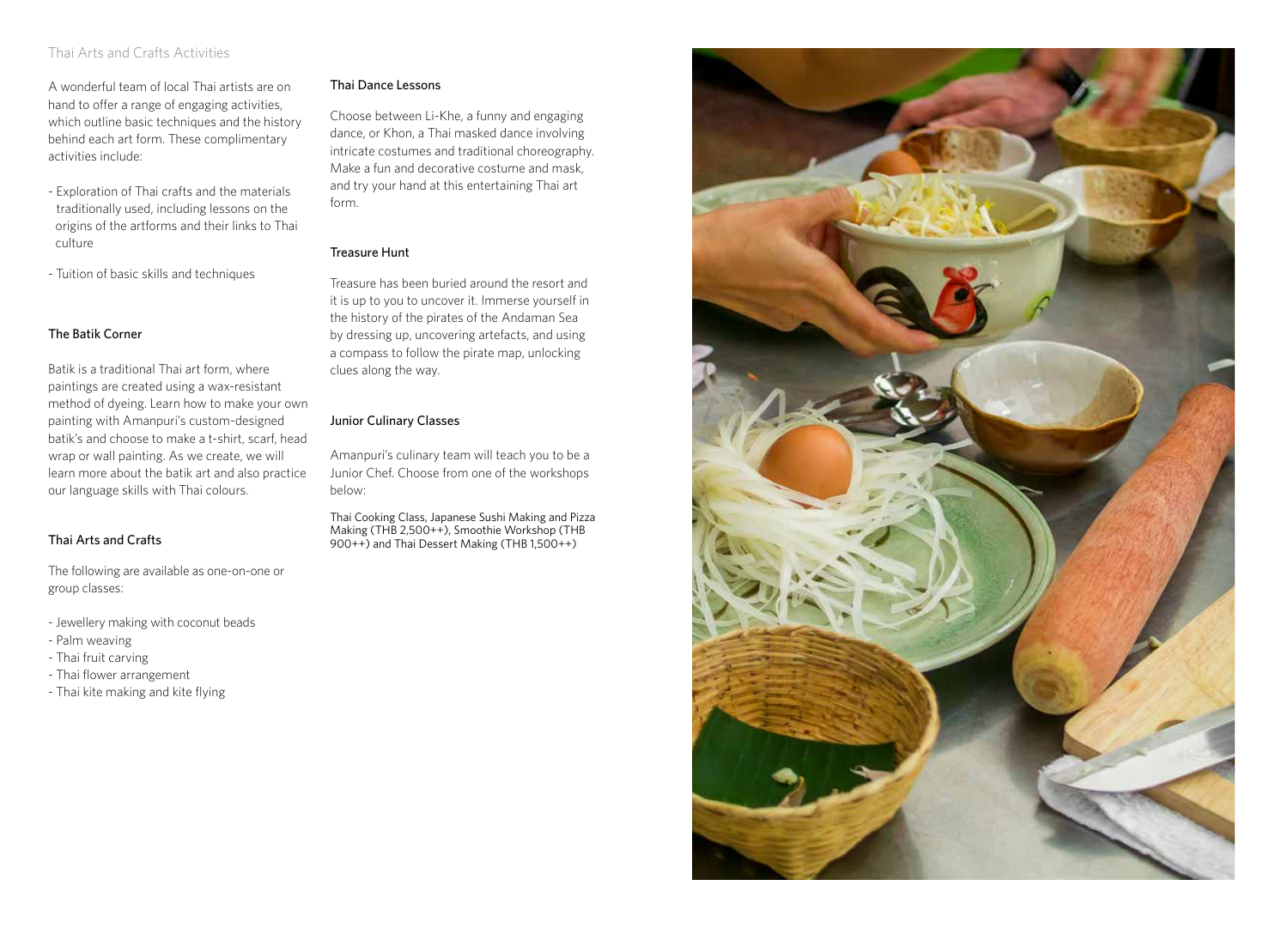## Thai Arts and Crafts Activities

A wonderful team of local Thai artists are on hand to offer a range of engaging activities, which outline basic techniques and the history behind each art form. These complimentary activities include:

- Exploration of Thai crafts and the materials traditionally used, including lessons on the origins of the artforms and their links to Thai culture
- Tuition of basic skills and techniques

#### The Batik Corner

Batik is a traditional Thai art form, where paintings are created using a wax-resistant method of dyeing. Learn how to make your own painting with Amanpuri's custom-designed batik's and choose to make a t-shirt, scarf, head wrap or wall painting. As we create, we will learn more about the batik art and also practice our language skills with Thai colours.

### Thai Arts and Crafts

The following are available as one-on-one or group classes:

- Jewellery making with coconut beads
- Palm weaving
- Thai fruit carving
- Thai flower arrangement
- Thai kite making and kite flying

#### Thai Dance Lessons

Choose between Li-Khe, a funny and engaging dance, or Khon, a Thai masked dance involving intricate costumes and traditional choreography. Make a fun and decorative costume and mask, and try your hand at this entertaining Thai art form.

#### Treasure Hunt

Treasure has been buried around the resort and it is up to you to uncover it. Immerse yourself in the history of the pirates of the Andaman Sea by dressing up, uncovering artefacts, and using a compass to follow the pirate map, unlocking clues along the way.

#### Junior Culinary Classes

Amanpuri's culinary team will teach you to be a Junior Chef. Choose from one of the workshops below:

Thai Cooking Class, Japanese Sushi Making and Pizza Making (THB 2,500++), Smoothie Workshop (THB 900++) and Thai Dessert Making (THB 1,500++)

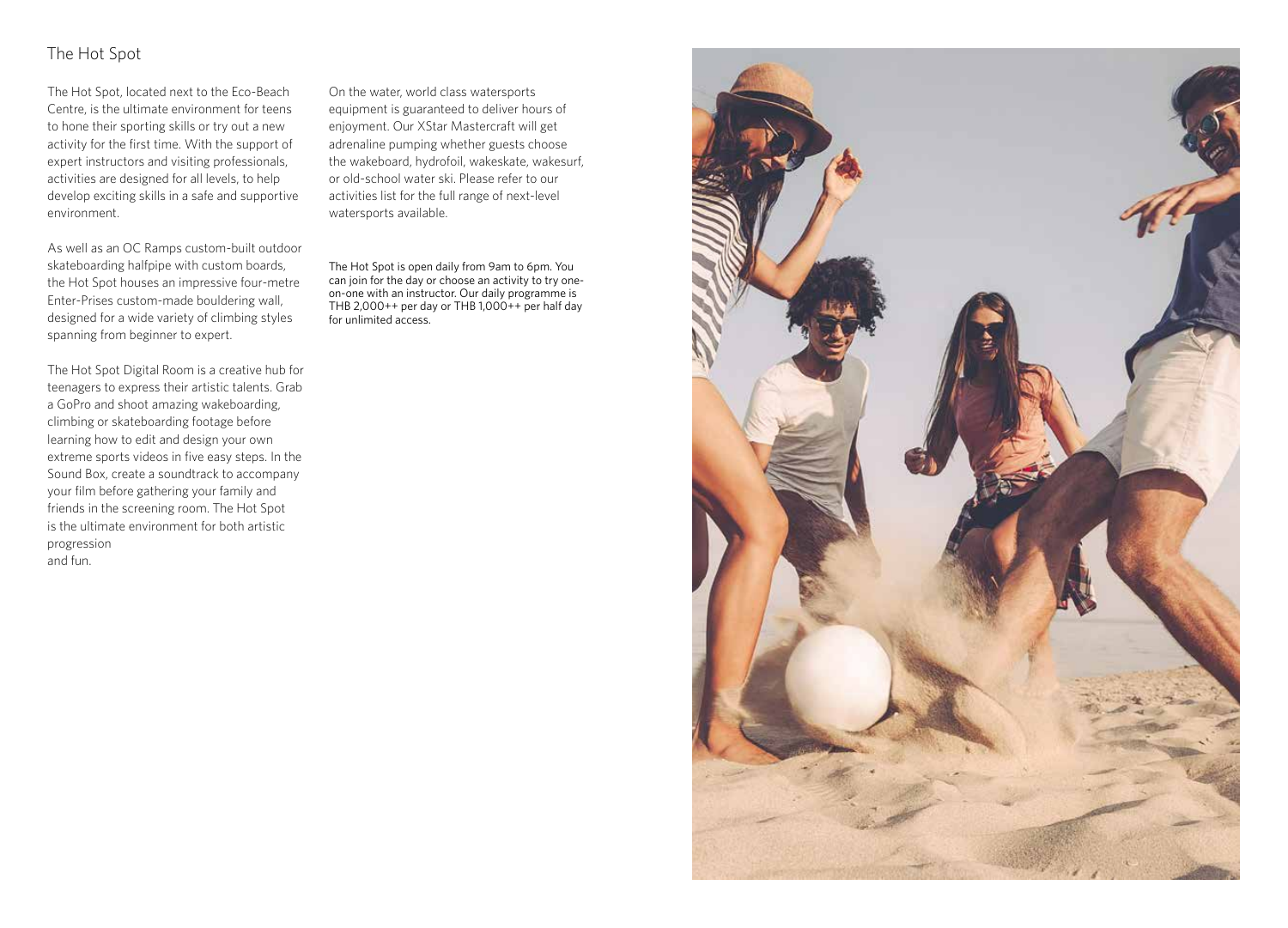# The Hot Spot

The Hot Spot, located next to the Eco-Beach Centre, is the ultimate environment for teens to hone their sporting skills or try out a new activity for the first time. With the support of expert instructors and visiting professionals, activities are designed for all levels, to help develop exciting skills in a safe and supportive environment.

As well as an OC Ramps custom-built outdoor skateboarding halfpipe with custom boards, the Hot Spot houses an impressive four-metre Enter-Prises custom-made bouldering wall, designed for a wide variety of climbing styles spanning from beginner to expert.

The Hot Spot Digital Room is a creative hub for teenagers to express their artistic talents. Grab a GoPro and shoot amazing wakeboarding, climbing or skateboarding footage before learning how to edit and design your own extreme sports videos in five easy steps. In the Sound Box, create a soundtrack to accompany your film before gathering your family and friends in the screening room. The Hot Spot is the ultimate environment for both artistic progression and fun.

On the water, world class watersports equipment is guaranteed to deliver hours of enjoyment. Our XStar Mastercraft will get adrenaline pumping whether guests choose the wakeboard, hydrofoil, wakeskate, wakesurf, or old-school water ski. Please refer to our activities list for the full range of next-level watersports available.

The Hot Spot is open daily from 9am to 6pm. You can join for the day or choose an activity to try oneon-one with an instructor. Our daily programme is THB 2,000++ per day or THB 1,000++ per half day for unlimited access.

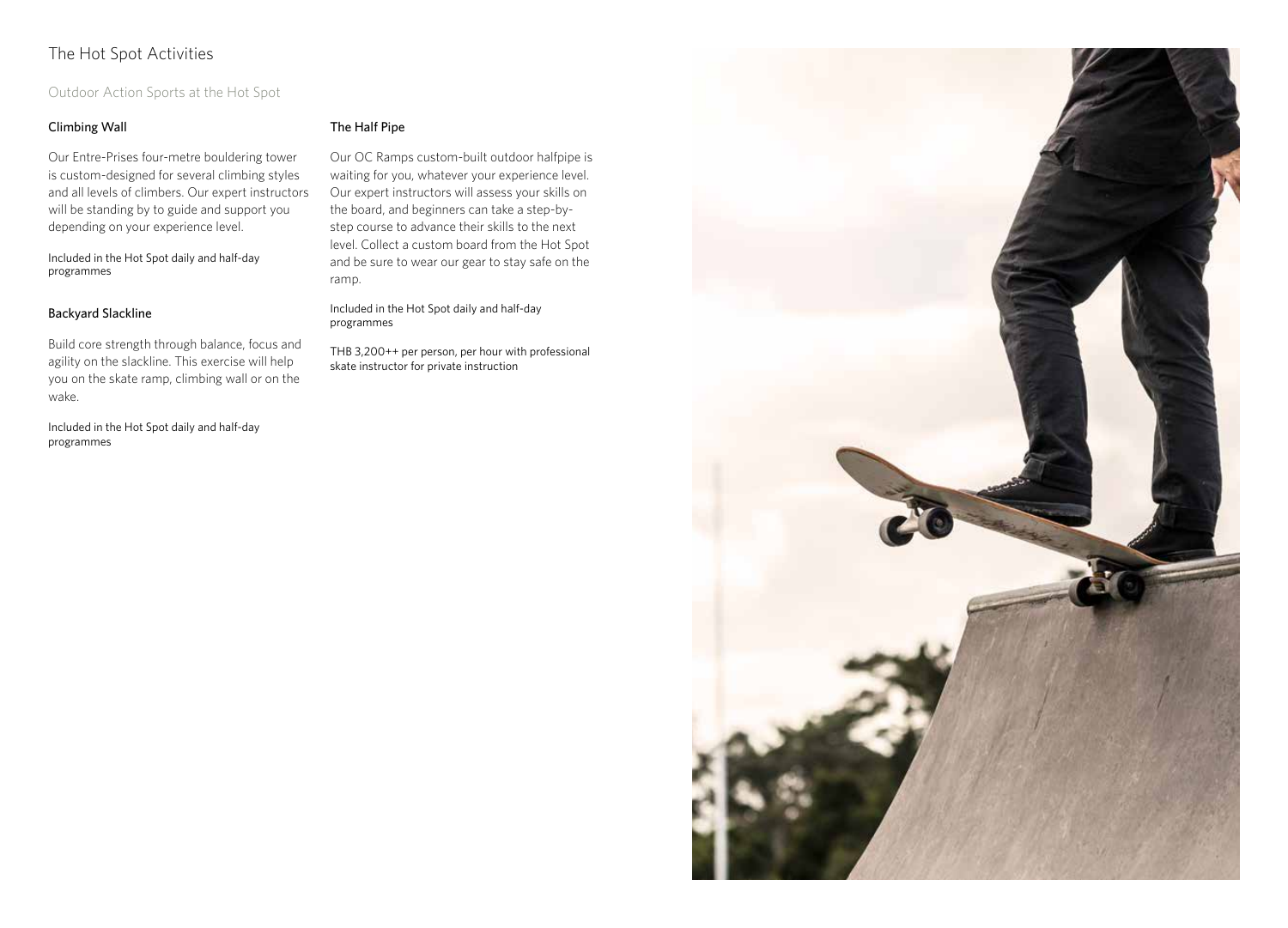# The Hot Spot Activities

## Outdoor Action Sports at the Hot Spot

## Climbing Wall

Our Entre-Prises four-metre bouldering tower is custom-designed for several climbing styles and all levels of climbers. Our expert instructors will be standing by to guide and support you depending on your experience level.

Included in the Hot Spot daily and half-day programmes

#### Backyard Slackline

Build core strength through balance, focus and agility on the slackline. This exercise will help you on the skate ramp, climbing wall or on the wake.

Included in the Hot Spot daily and half-day programmes

#### The Half Pipe

Our OC Ramps custom-built outdoor halfpipe is waiting for you, whatever your experience level. Our expert instructors will assess your skills on the board, and beginners can take a step-bystep course to advance their skills to the next level. Collect a custom board from the Hot Spot and be sure to wear our gear to stay safe on the ramp.

Included in the Hot Spot daily and half-day programmes

THB 3,200++ per person, per hour with professional skate instructor for private instruction

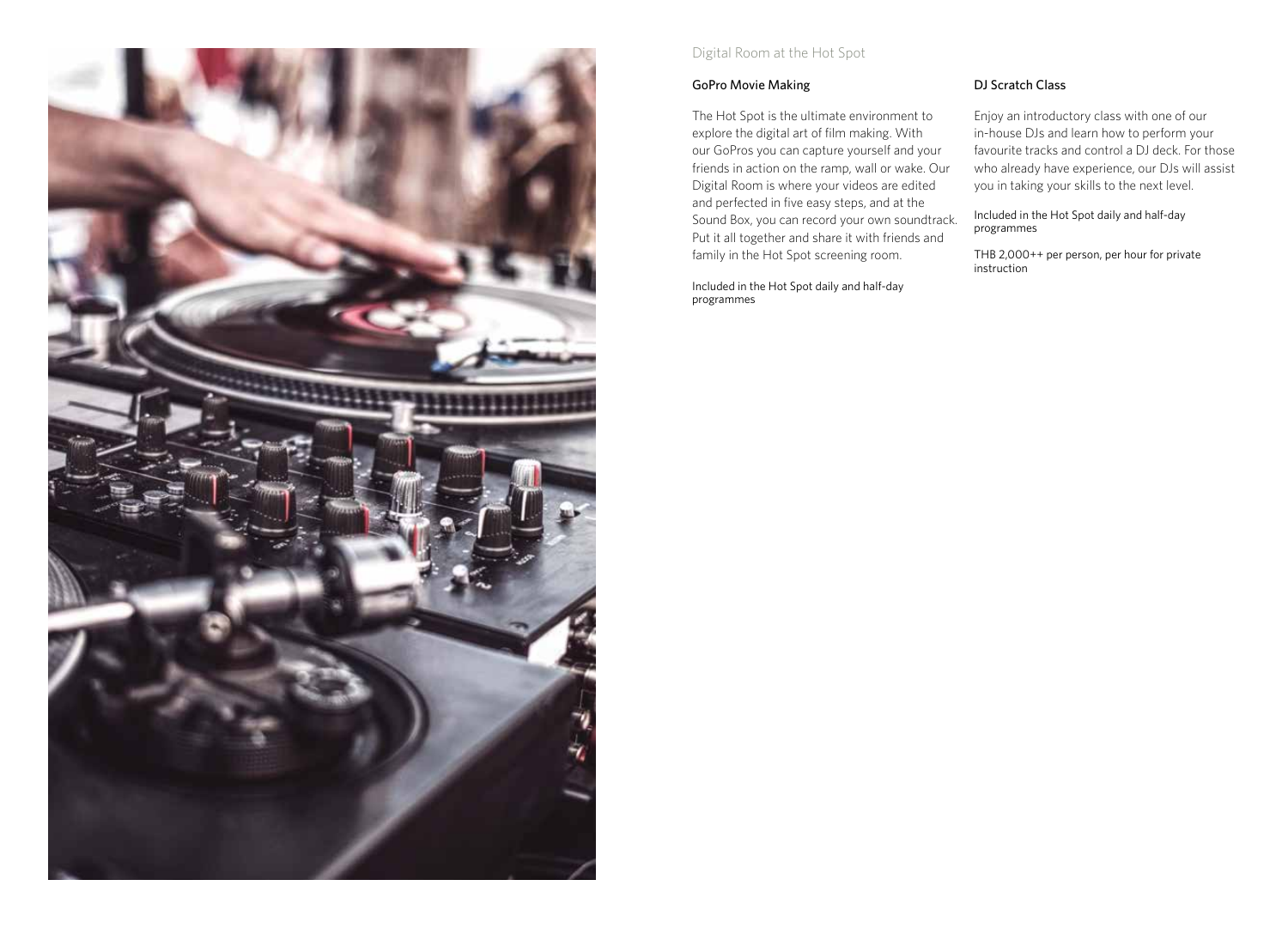

## Digital Room at the Hot Spot

## GoPro Movie Making

The Hot Spot is the ultimate environment to explore the digital art of film making. With our GoPros you can capture yourself and your friends in action on the ramp, wall or wake. Our Digital Room is where your videos are edited and perfected in five easy steps, and at the Sound Box, you can record your own soundtrack. Put it all together and share it with friends and family in the Hot Spot screening room.

Included in the Hot Spot daily and half-day programmes

## DJ Scratch Class

Enjoy an introductory class with one of our in-house DJs and learn how to perform your favourite tracks and control a DJ deck. For those who already have experience, our DJs will assist you in taking your skills to the next level.

Included in the Hot Spot daily and half-day programmes

THB 2,000++ per person, per hour for private instruction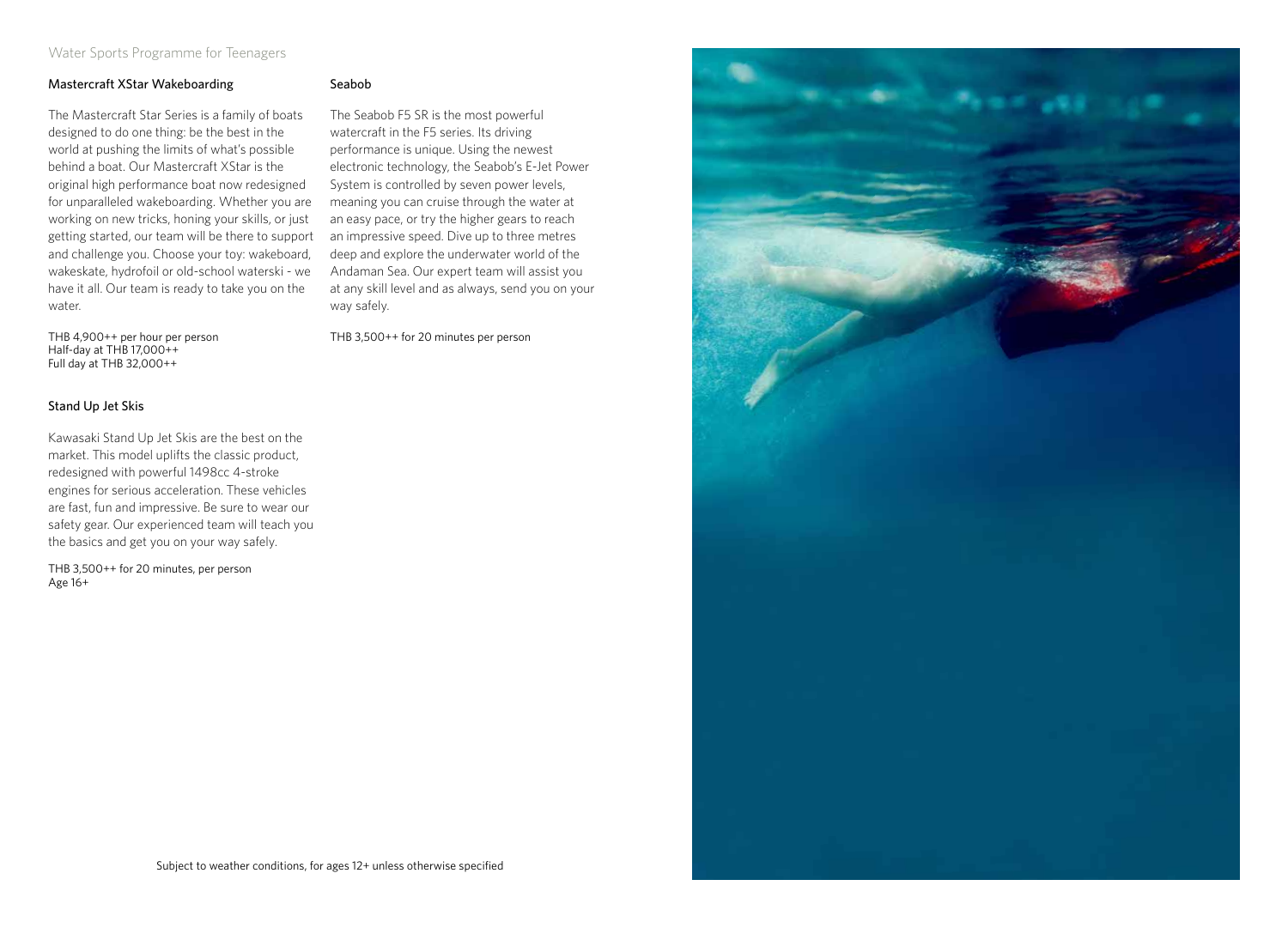## Water Sports Programme for Teenagers

#### Mastercraft XStar Wakeboarding

The Mastercraft Star Series is a family of boats designed to do one thing: be the best in the world at pushing the limits of what's possible behind a boat. Our Mastercraft XStar is the original high performance boat now redesigned for unparalleled wakeboarding. Whether you are working on new tricks, honing your skills, or just getting started, our team will be there to support and challenge you. Choose your toy: wakeboard, wakeskate, hydrofoil or old-school waterski - we have it all. Our team is ready to take you on the water.

THB 4,900++ per hour per person Half-day at THB 17,000++ Full day at THB 32,000++

#### Stand Up Jet Skis

Kawasaki Stand Up Jet Skis are the best on the market. This model uplifts the classic product, redesigned with powerful 1498cc 4-stroke engines for serious acceleration. These vehicles are fast, fun and impressive. Be sure to wear our safety gear. Our experienced team will teach you the basics and get you on your way safely.

THB 3,500++ for 20 minutes, per person Age 16+

#### Seabob

The Seabob F5 SR is the most powerful watercraft in the F5 series. Its driving performance is unique. Using the newest electronic technology, the Seabob's E-Jet Power System is controlled by seven power levels, meaning you can cruise through the water at an easy pace, or try the higher gears to reach an impressive speed. Dive up to three metres deep and explore the underwater world of the Andaman Sea. Our expert team will assist you at any skill level and as always, send you on your way safely.

THB 3,500++ for 20 minutes per person

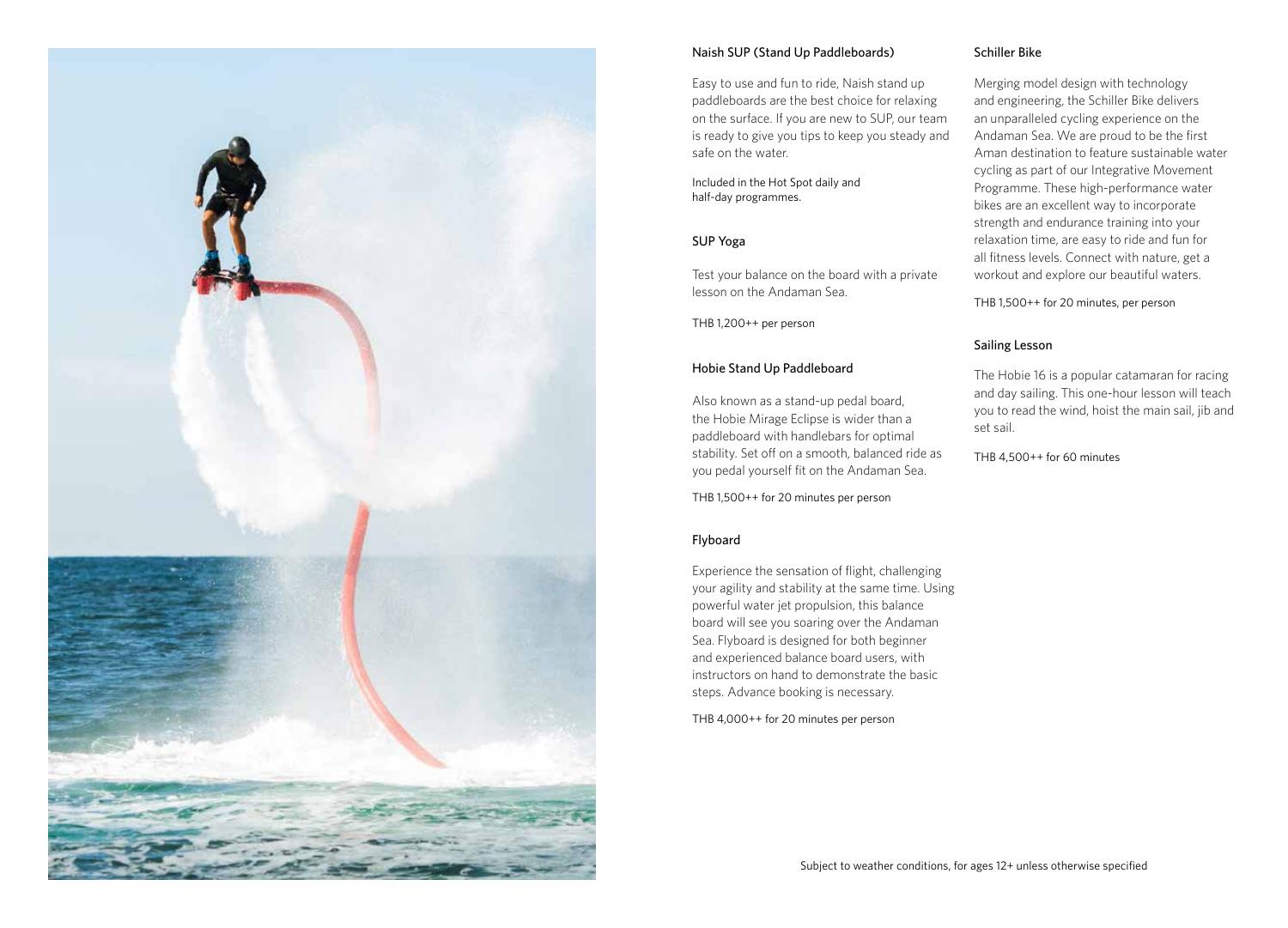

#### Naish SUP (Stand Up Paddleboards)

Easy to use and fun to ride, Naish stand up paddleboards are the best choice for relaxing on the surface. If you are new to SUP, our team is ready to give you tips to keep you steady and safe on the water.

Included in the Hot Spot daily and half-day programmes.

#### SUP Yoga

Test your balance on the board with a private lesson on the Andaman Sea.

THB 1,200++ per person

#### Hobie Stand Up Paddleboard

Also known as a stand-up pedal board, the Hobie Mirage Eclipse is wider than a paddleboard with handlebars for optimal stability. Set off on a smooth, balanced ride as you pedal yourself fit on the Andaman Sea.

THB 1,500++ for 20 minutes per person

#### Flyboard

Experience the sensation of flight, challenging your agility and stability at the same time. Using powerful water jet propulsion, this balance board will see you soaring over the Andaman Sea. Flyboard is designed for both beginner and experienced balance board users, with instructors on hand to demonstrate the basic steps. Advance booking is necessary.

THB 4,000++ for 20 minutes per person

#### Schiller Bike

Merging model design with technology and engineering, the Schiller Bike delivers an unparalleled cycling experience on the Andaman Sea. We are proud to be the first Aman destination to feature sustainable water cycling as part of our Integrative Movement Programme. These high-performance water bikes are an excellent way to incorporate strength and endurance training into your relaxation time, are easy to ride and fun for all fitness levels. Connect with nature, get a workout and explore our beautiful waters.

THB 1,500++ for 20 minutes, per person

#### Sailing Lesson

The Hobie 16 is a popular catamaran for racing and day sailing. This one-hour lesson will teach you to read the wind, hoist the main sail, jib and set sail.

THB 4,500++ for 60 minutes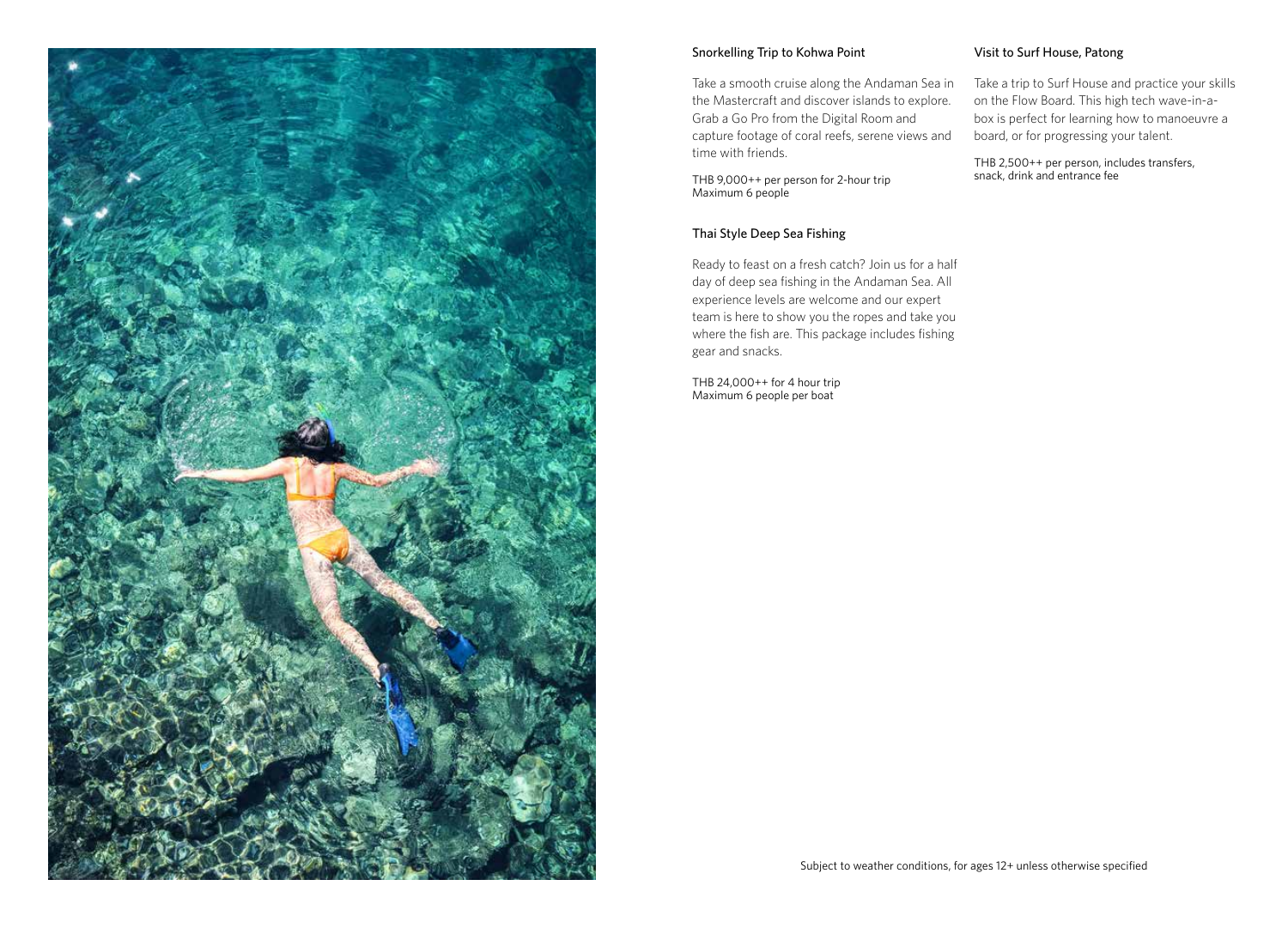

#### Snorkelling Trip to Kohwa Point

Take a smooth cruise along the Andaman Sea in the Mastercraft and discover islands to explore. Grab a Go Pro from the Digital Room and capture footage of coral reefs, serene views and time with friends.

THB 9,000++ per person for 2-hour trip Maximum 6 people

#### Thai Style Deep Sea Fishing

Ready to feast on a fresh catch? Join us for a half day of deep sea fishing in the Andaman Sea. All experience levels are welcome and our expert team is here to show you the ropes and take you where the fish are. This package includes fishing gear and snacks.

THB 24,000++ for 4 hour trip Maximum 6 people per boat

#### Visit to Surf House, Patong

Take a trip to Surf House and practice your skills on the Flow Board. This high tech wave-in-abox is perfect for learning how to manoeuvre a board, or for progressing your talent.

THB 2,500++ per person, includes transfers, snack, drink and entrance fee

Subject to weather conditions, for ages 12+ unless otherwise specified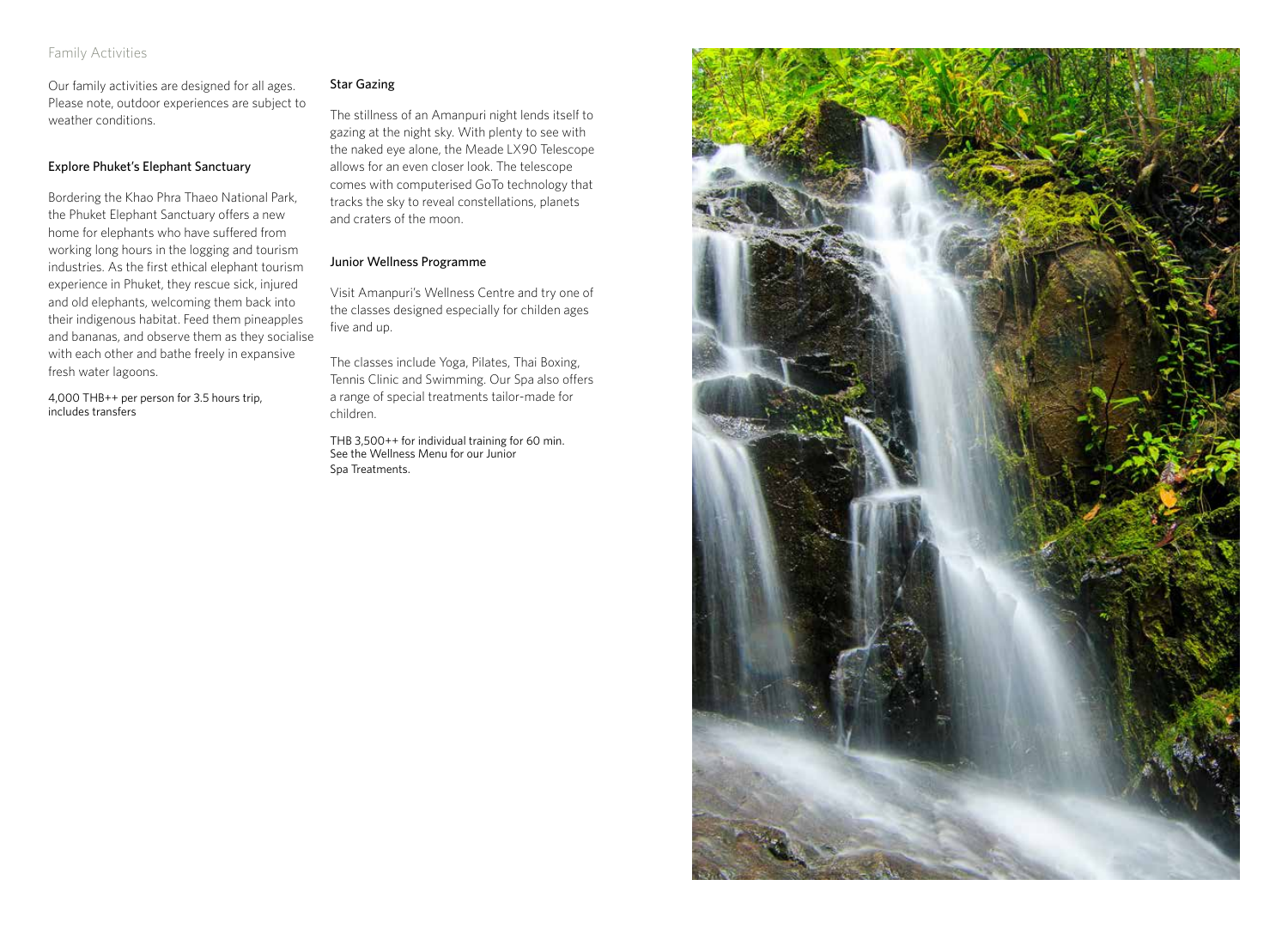### Family Activities

Our family activities are designed for all ages. Please note, outdoor experiences are subject to weather conditions.

#### Explore Phuket's Elephant Sanctuary

Bordering the Khao Phra Thaeo National Park, the Phuket Elephant Sanctuary offers a new home for elephants who have suffered from working long hours in the logging and tourism industries. As the first ethical elephant tourism experience in Phuket, they rescue sick, injured and old elephants, welcoming them back into their indigenous habitat. Feed them pineapples and bananas, and observe them as they socialise with each other and bathe freely in expansive fresh water lagoons.

4,000 THB++ per person for 3.5 hours trip, includes transfers

#### Star Gazing

The stillness of an Amanpuri night lends itself to gazing at the night sky. With plenty to see with the naked eye alone, the Meade LX90 Telescope allows for an even closer look. The telescope comes with computerised GoTo technology that tracks the sky to reveal constellations, planets and craters of the moon.

#### Junior Wellness Programme

Visit Amanpuri's Wellness Centre and try one of the classes designed especially for childen ages five and up.

The classes include Yoga, Pilates, Thai Boxing, Tennis Clinic and Swimming. Our Spa also offers a range of special treatments tailor-made for children.

THB 3,500++ for individual training for 60 min. See the Wellness Menu for our Junior Spa Treatments.

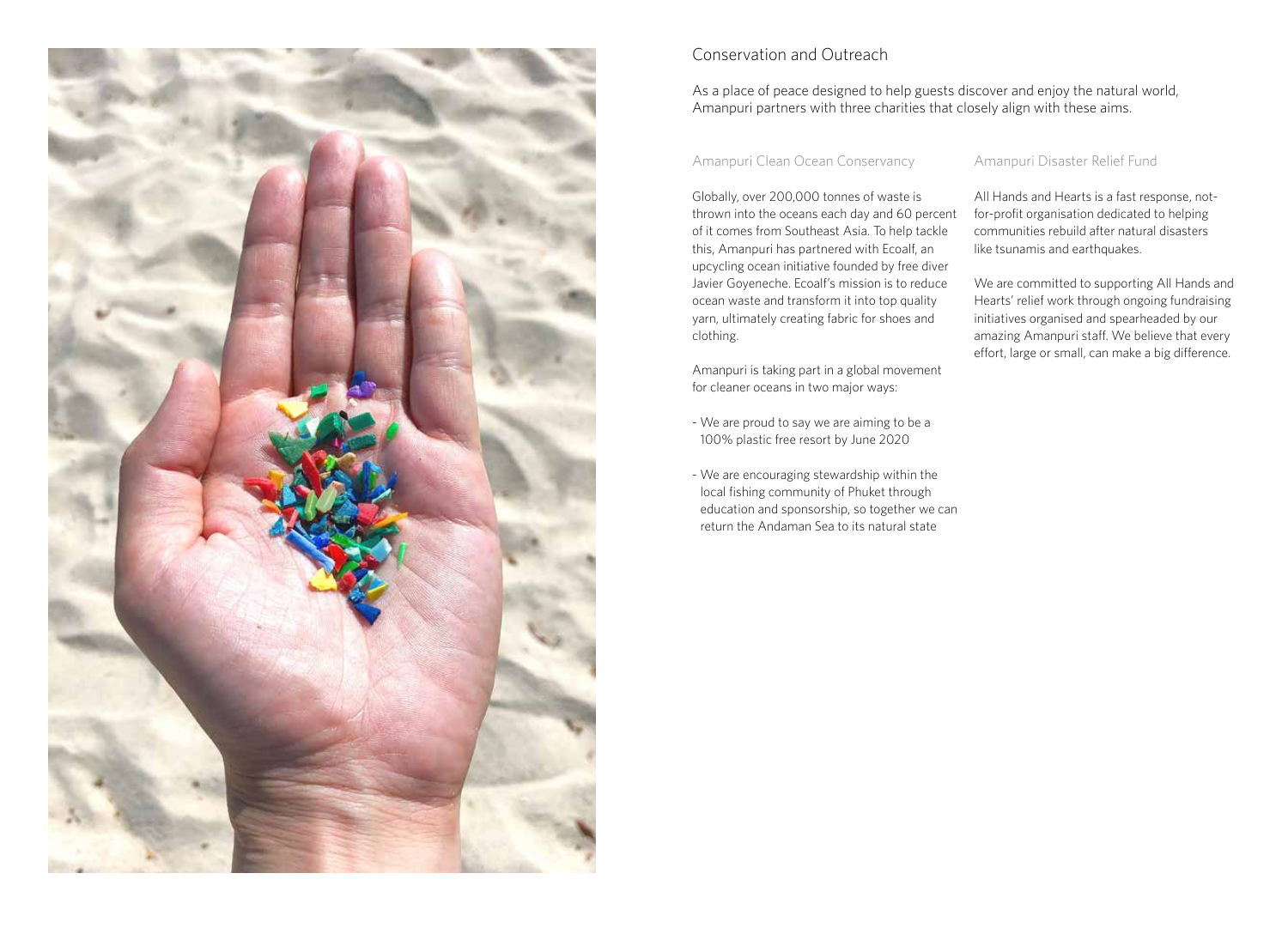

# Conservation and Outreach

## As a place of peace designed to help guests discover and enjoy the natural world, Amanpuri partners with three charities that closely align with these aims.

## Amanpuri Clean Ocean Conservancy

Globally, over 200,000 tonnes of waste is thrown into the oceans each day and 60 percent of it comes from Southeast Asia. To help tackle this, Amanpuri has partnered with Ecoalf, an upcycling ocean initiative founded by free diver Javier Goyeneche. Ecoalf's mission is to reduce ocean waste and transform it into top quality yarn, ultimately creating fabric for shoes and clothing.

Amanpuri is taking part in a global movement for cleaner oceans in two major ways:

- We are proud to say we are aiming to be a 100% plastic free resort by June 2020
- We are encouraging stewardship within the local fishing community of Phuket through education and sponsorship, so together we can return the Andaman Sea to its natural state

## Amanpuri Disaster Relief Fund

All Hands and Hearts is a fast response, notfor-profit organisation dedicated to helping communities rebuild after natural disasters like tsunamis and earthquakes.

We are committed to supporting All Hands and Hearts' relief work through ongoing fundraising initiatives organised and spearheaded by our amazing Amanpuri staff. We believe that every effort, large or small, can make a big difference.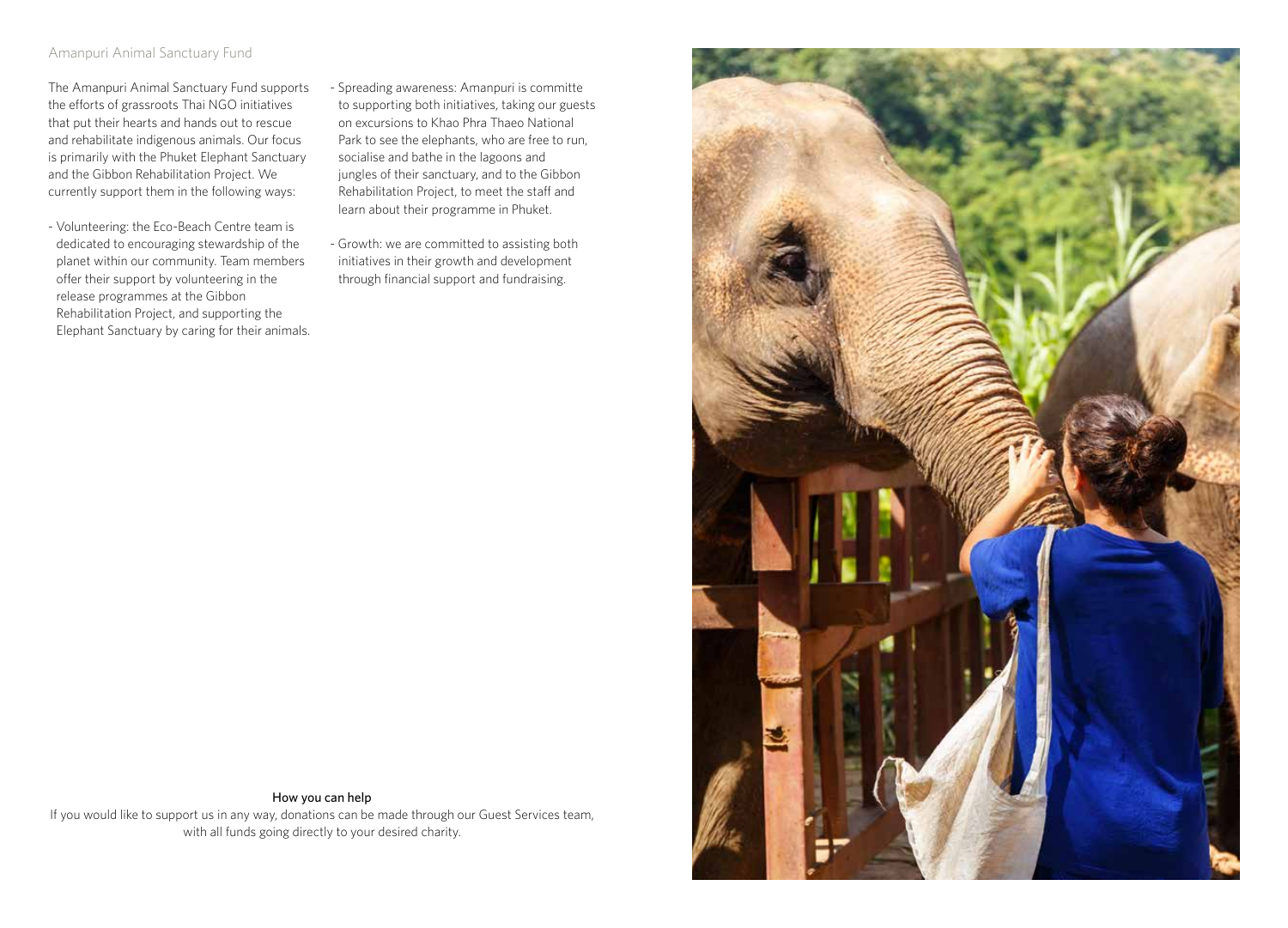## Amanpuri Animal Sanctuary Fund

The Amanpuri Animal Sanctuary Fund supports the efforts of grassroots Thai NGO initiatives that put their hearts and hands out to rescue and rehabilitate indigenous animals. Our focus is primarily with the Phuket Elephant Sanctuary and the Gibbon Rehabilitation Project. We currently support them in the following ways:

- Volunteering: the Eco-Beach Centre team is dedicated to encouraging stewardship of the planet within our community. Team members offer their support by volunteering in the release programmes at the Gibbon Rehabilitation Project, and supporting the Elephant Sanctuary by caring for their animals.
- Spreading awareness: Amanpuri is committe to supporting both initiatives, taking our guests on excursions to Khao Phra Thaeo National Park to see the elephants, who are free to run, socialise and bathe in the lagoons and jungles of their sanctuary, and to the Gibbon Rehabilitation Project, to meet the staff and learn about their programme in Phuket.
- Growth: we are committed to assisting both initiatives in their growth and development through financial support and fundraising.



How you can help If you would like to support us in any way, donations can be made through our Guest Services team, with all funds going directly to your desired charity.